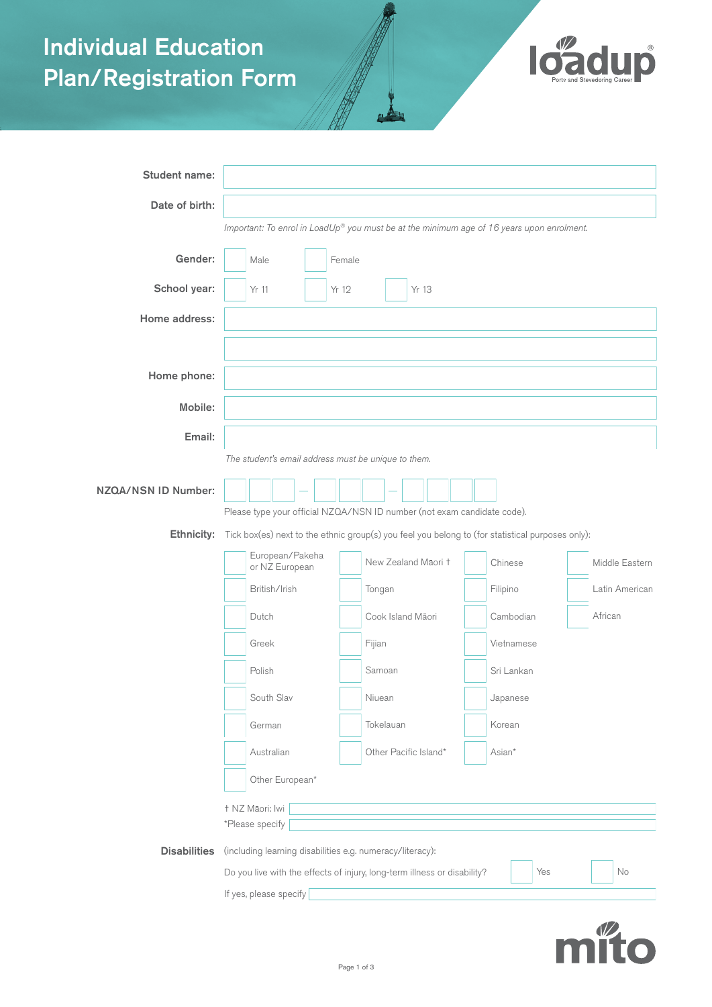# Individual Education Plan/Registration Form



| Student name:       |                                                                                                                 |  |  |  |           |                       |  |  |  |  |            |          |        |            |                |                |  |  |  |
|---------------------|-----------------------------------------------------------------------------------------------------------------|--|--|--|-----------|-----------------------|--|--|--|--|------------|----------|--------|------------|----------------|----------------|--|--|--|
| Date of birth:      |                                                                                                                 |  |  |  |           |                       |  |  |  |  |            |          |        |            |                |                |  |  |  |
|                     | Important: To enrol in LoadUp® you must be at the minimum age of 16 years upon enrolment.                       |  |  |  |           |                       |  |  |  |  |            |          |        |            |                |                |  |  |  |
| Gender:             | Male<br>Female                                                                                                  |  |  |  |           |                       |  |  |  |  |            |          |        |            |                |                |  |  |  |
| School year:        | Yr 12<br>Yr 13<br>Yr 11                                                                                         |  |  |  |           |                       |  |  |  |  |            |          |        |            |                |                |  |  |  |
| Home address:       |                                                                                                                 |  |  |  |           |                       |  |  |  |  |            |          |        |            |                |                |  |  |  |
|                     |                                                                                                                 |  |  |  |           |                       |  |  |  |  |            |          |        |            |                |                |  |  |  |
| Home phone:         |                                                                                                                 |  |  |  |           |                       |  |  |  |  |            |          |        |            |                |                |  |  |  |
| Mobile:             |                                                                                                                 |  |  |  |           |                       |  |  |  |  |            |          |        |            |                |                |  |  |  |
| Email:              |                                                                                                                 |  |  |  |           |                       |  |  |  |  |            |          |        |            |                |                |  |  |  |
|                     | The student's email address must be unique to them.                                                             |  |  |  |           |                       |  |  |  |  |            |          |        |            |                |                |  |  |  |
| NZQA/NSN ID Number: |                                                                                                                 |  |  |  |           |                       |  |  |  |  |            |          |        |            |                |                |  |  |  |
|                     | Please type your official NZQA/NSN ID number (not exam candidate code).                                         |  |  |  |           |                       |  |  |  |  |            |          |        |            |                |                |  |  |  |
| Ethnicity:          | Tick box(es) next to the ethnic group(s) you feel you belong to (for statistical purposes only):                |  |  |  |           |                       |  |  |  |  |            |          |        |            |                |                |  |  |  |
|                     | European/Pakeha<br>or NZ European<br>British/Irish<br>Dutch<br>Greek<br>Polish                                  |  |  |  |           | New Zealand Māori +   |  |  |  |  | Chinese    |          |        |            | Middle Eastern |                |  |  |  |
|                     |                                                                                                                 |  |  |  |           | Tongan                |  |  |  |  |            | Filipino |        |            |                | Latin American |  |  |  |
|                     |                                                                                                                 |  |  |  |           | Cook Island Māori     |  |  |  |  | Cambodian  |          |        |            |                | African        |  |  |  |
|                     |                                                                                                                 |  |  |  | Fijian    |                       |  |  |  |  |            |          |        | Vietnamese |                |                |  |  |  |
|                     |                                                                                                                 |  |  |  |           | Samoan                |  |  |  |  | Sri Lankan |          |        |            |                |                |  |  |  |
|                     | South Slav                                                                                                      |  |  |  | Niuean    |                       |  |  |  |  |            | Japanese |        |            |                |                |  |  |  |
|                     | German                                                                                                          |  |  |  | Tokelauan |                       |  |  |  |  | Korean     |          |        |            |                |                |  |  |  |
|                     | Australian                                                                                                      |  |  |  |           | Other Pacific Island* |  |  |  |  |            |          | Asian* |            |                |                |  |  |  |
|                     | Other European*                                                                                                 |  |  |  |           |                       |  |  |  |  |            |          |        |            |                |                |  |  |  |
|                     | † NZ Māori: Iwi<br>*Please specify<br>(including learning disabilities e.g. numeracy/literacy):                 |  |  |  |           |                       |  |  |  |  |            |          |        |            |                |                |  |  |  |
| <b>Disabilities</b> |                                                                                                                 |  |  |  |           |                       |  |  |  |  |            |          |        |            |                |                |  |  |  |
|                     | Yes<br>No<br>Do you live with the effects of injury, long-term illness or disability?<br>If yes, please specify |  |  |  |           |                       |  |  |  |  |            |          |        |            |                |                |  |  |  |
|                     |                                                                                                                 |  |  |  |           |                       |  |  |  |  |            |          |        |            |                |                |  |  |  |

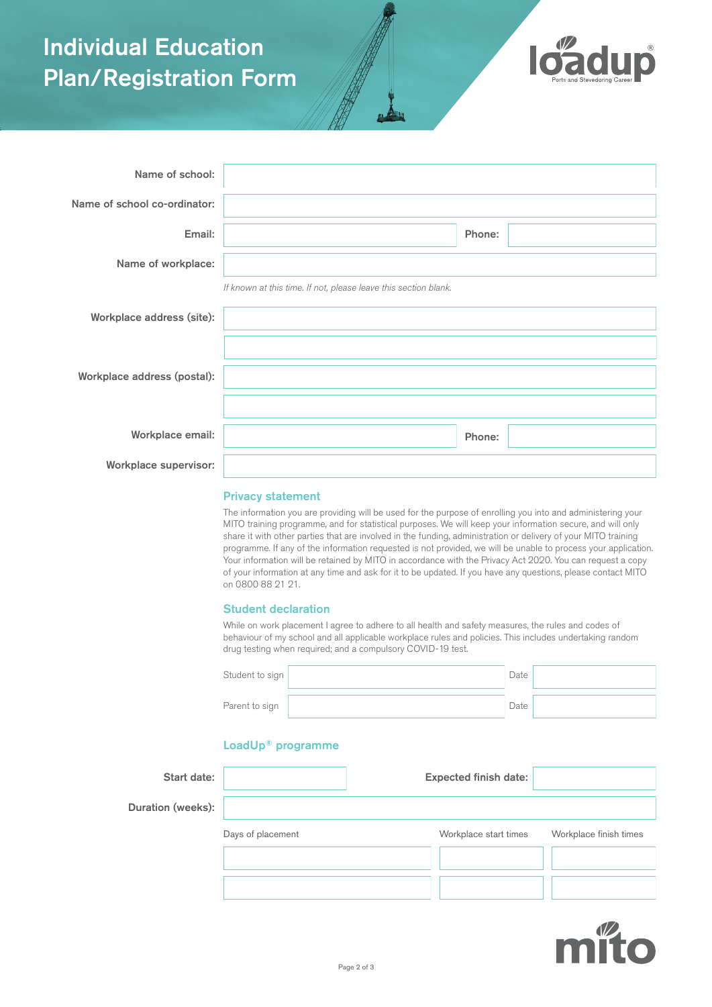### Individual Education Plan/Registration Form



| Name of school:              |                                                                 |        |
|------------------------------|-----------------------------------------------------------------|--------|
| Name of school co-ordinator: |                                                                 |        |
| Email:                       |                                                                 | Phone: |
| Name of workplace:           |                                                                 |        |
|                              | If known at this time. If not, please leave this section blank. |        |
| Workplace address (site):    |                                                                 |        |
|                              |                                                                 |        |
| Workplace address (postal):  |                                                                 |        |
|                              |                                                                 |        |
| Workplace email:             |                                                                 | Phone: |
| <b>Workplace supervisor:</b> |                                                                 |        |

### Privacy statement

The information you are providing will be used for the purpose of enrolling you into and administering your MITO training programme, and for statistical purposes. We will keep your information secure, and will only share it with other parties that are involved in the funding, administration or delivery of your MITO training programme. If any of the information requested is not provided, we will be unable to process your application. Your information will be retained by MITO in accordance with the Privacy Act 2020. You can request a copy of your information at any time and ask for it to be updated. If you have any questions, please contact MITO on 0800 88 21 21.

#### Student declaration

While on work placement I agree to adhere to all health and safety measures, the rules and codes of behaviour of my school and all applicable workplace rules and policies. This includes undertaking random drug testing when required; and a compulsory COVID-19 test.

| Student to sign | Date |  |
|-----------------|------|--|
| Parent to sign  | Date |  |

### LoadUp® programme

| Start date:       |                   | <b>Expected finish date:</b> |                        |
|-------------------|-------------------|------------------------------|------------------------|
| Duration (weeks): |                   |                              |                        |
|                   | Days of placement | Workplace start times        | Workplace finish times |
|                   |                   |                              |                        |
|                   |                   |                              |                        |